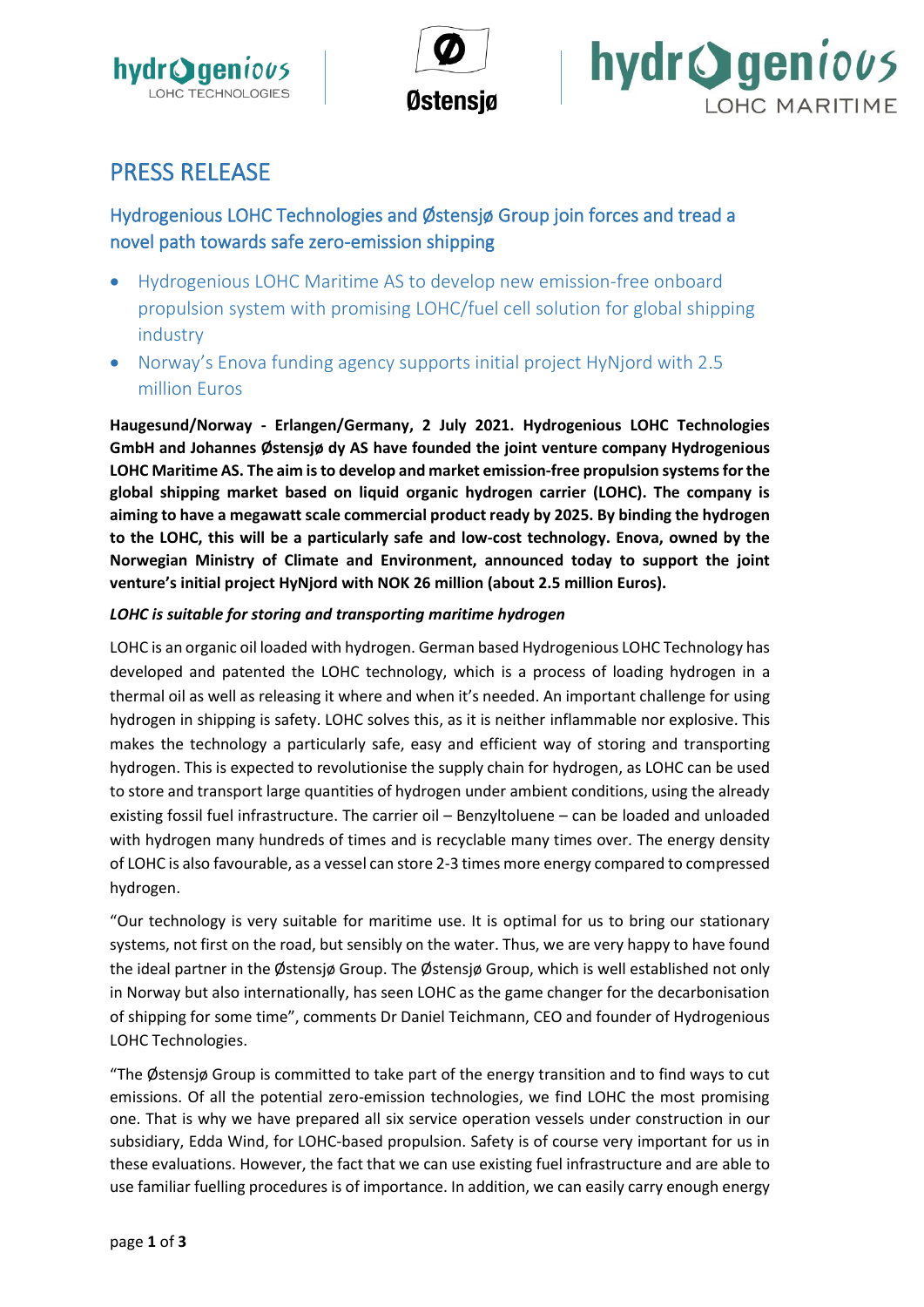





# PRESS RELEASE

## Hydrogenious LOHC Technologies and Østensjø Group join forces and tread a novel path towards safe zero-emission shipping

- Hydrogenious LOHC Maritime AS to develop new emission-free onboard propulsion system with promising LOHC/fuel cell solution for global shipping industry
- Norway's Enova funding agency supports initial project HyNjord with 2.5 million Euros

**Haugesund/Norway - Erlangen/Germany, 2 July 2021. Hydrogenious LOHC Technologies GmbH and Johannes Østensjø dy AS have founded the joint venture company Hydrogenious LOHC Maritime AS. The aim is to develop and market emission-free propulsion systems for the global shipping market based on liquid organic hydrogen carrier (LOHC). The company is aiming to have a megawatt scale commercial product ready by 2025. By binding the hydrogen to the LOHC, this will be a particularly safe and low-cost technology. Enova, owned by the Norwegian Ministry of Climate and Environment, announced today to support the joint venture's initial project HyNjord with NOK 26 million (about 2.5 million Euros).**

### *LOHC is suitable for storing and transporting maritime hydrogen*

LOHC is an organic oil loaded with hydrogen. German based Hydrogenious LOHC Technology has developed and patented the LOHC technology, which is a process of loading hydrogen in a thermal oil as well as releasing it where and when it's needed. An important challenge for using hydrogen in shipping is safety. LOHC solves this, as it is neither inflammable nor explosive. This makes the technology a particularly safe, easy and efficient way of storing and transporting hydrogen. This is expected to revolutionise the supply chain for hydrogen, as LOHC can be used to store and transport large quantities of hydrogen under ambient conditions, using the already existing fossil fuel infrastructure. The carrier oil – Benzyltoluene – can be loaded and unloaded with hydrogen many hundreds of times and is recyclable many times over. The energy density of LOHC is also favourable, as a vessel can store 2-3 times more energy compared to compressed hydrogen.

"Our technology is very suitable for maritime use. It is optimal for us to bring our stationary systems, not first on the road, but sensibly on the water. Thus, we are very happy to have found the ideal partner in the Østensjø Group. The Østensjø Group, which is well established not only in Norway but also internationally, has seen LOHC as the game changer for the decarbonisation of shipping for some time", comments Dr Daniel Teichmann, CEO and founder of Hydrogenious LOHC Technologies.

"The Østensjø Group is committed to take part of the energy transition and to find ways to cut emissions. Of all the potential zero-emission technologies, we find LOHC the most promising one. That is why we have prepared all six service operation vessels under construction in our subsidiary, Edda Wind, for LOHC-based propulsion. Safety is of course very important for us in these evaluations. However, the fact that we can use existing fuel infrastructure and are able to use familiar fuelling procedures is of importance. In addition, we can easily carry enough energy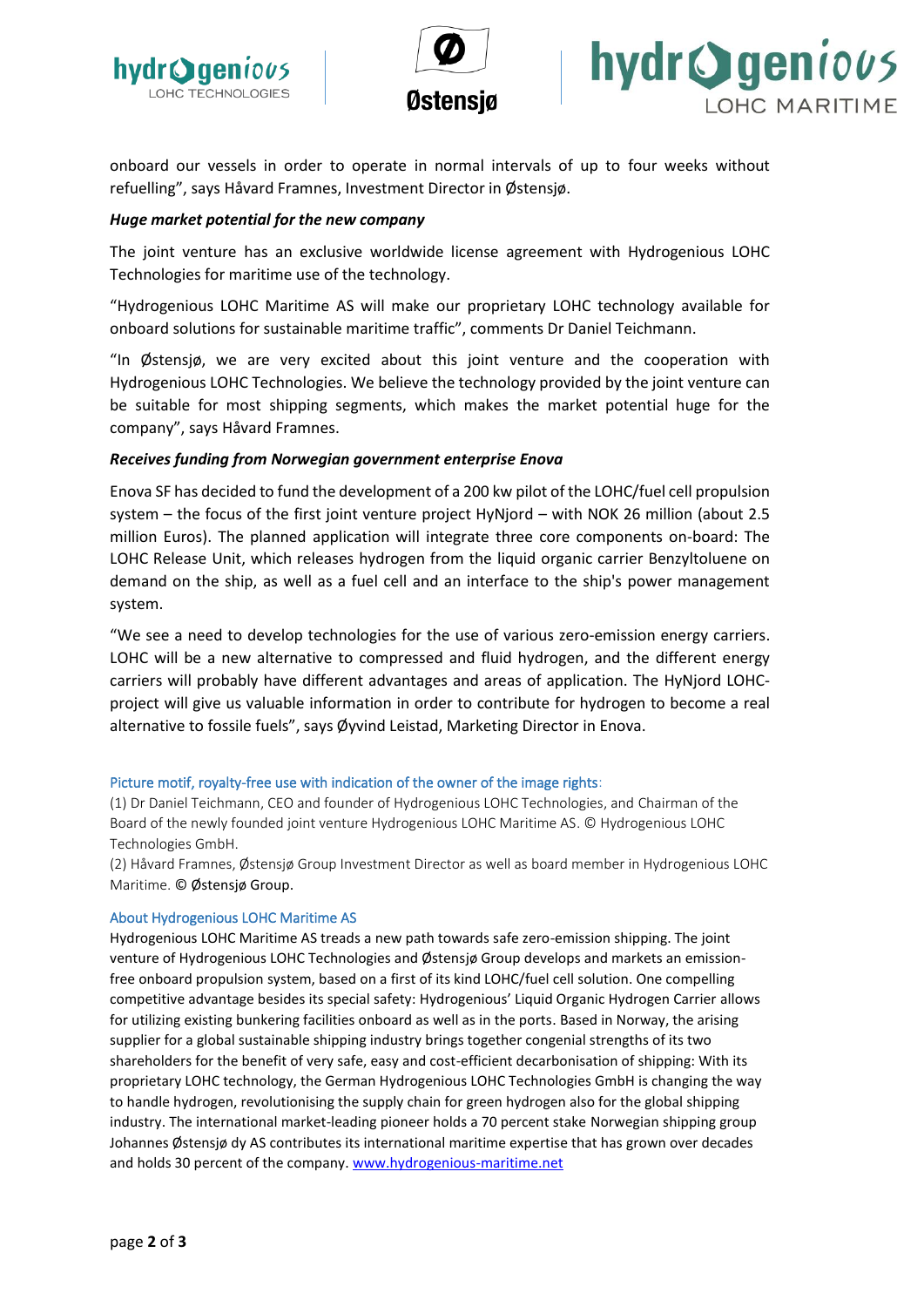





onboard our vessels in order to operate in normal intervals of up to four weeks without refuelling", says Håvard Framnes, Investment Director in Østensjø.

#### *Huge market potential for the new company*

The joint venture has an exclusive worldwide license agreement with Hydrogenious LOHC Technologies for maritime use of the technology.

"Hydrogenious LOHC Maritime AS will make our proprietary LOHC technology available for onboard solutions for sustainable maritime traffic", comments Dr Daniel Teichmann.

"In Østensjø, we are very excited about this joint venture and the cooperation with Hydrogenious LOHC Technologies. We believe the technology provided by the joint venture can be suitable for most shipping segments, which makes the market potential huge for the company", says Håvard Framnes.

#### *Receives funding from Norwegian government enterprise Enova*

Enova SF has decided to fund the development of a 200 kw pilot of the LOHC/fuel cell propulsion system – the focus of the first joint venture project HyNjord – with NOK 26 million (about 2.5 million Euros). The planned application will integrate three core components on-board: The LOHC Release Unit, which releases hydrogen from the liquid organic carrier Benzyltoluene on demand on the ship, as well as a fuel cell and an interface to the ship's power management system.

"We see a need to develop technologies for the use of various zero-emission energy carriers. LOHC will be a new alternative to compressed and fluid hydrogen, and the different energy carriers will probably have different advantages and areas of application. The HyNjord LOHCproject will give us valuable information in order to contribute for hydrogen to become a real alternative to fossile fuels", says Øyvind Leistad, Marketing Director in Enova.

#### Picture motif, royalty-free use with indication of the owner of the image rights:

(1) Dr Daniel Teichmann, CEO and founder of Hydrogenious LOHC Technologies, and Chairman of the Board of the newly founded joint venture Hydrogenious LOHC Maritime AS. © Hydrogenious LOHC Technologies GmbH.

(2) Håvard Framnes, Østensjø Group Investment Director as well as board member in Hydrogenious LOHC Maritime. © Østensjø Group.

#### About Hydrogenious LOHC Maritime AS

Hydrogenious LOHC Maritime AS treads a new path towards safe zero-emission shipping. The joint venture of Hydrogenious LOHC Technologies and Østensjø Group develops and markets an emissionfree onboard propulsion system, based on a first of its kind LOHC/fuel cell solution. One compelling competitive advantage besides its special safety: Hydrogenious' Liquid Organic Hydrogen Carrier allows for utilizing existing bunkering facilities onboard as well as in the ports. Based in Norway, the arising supplier for a global sustainable shipping industry brings together congenial strengths of its two shareholders for the benefit of very safe, easy and cost-efficient decarbonisation of shipping: With its proprietary LOHC technology, the German Hydrogenious LOHC Technologies GmbH is changing the way to handle hydrogen, revolutionising the supply chain for green hydrogen also for the global shipping industry. The international market-leading pioneer holds a 70 percent stake Norwegian shipping group Johannes Østensjø dy AS contributes its international maritime expertise that has grown over decades and holds 30 percent of the company. [www.hydrogenious-maritime.net](http://www.hydrogenious-maritime.net/)